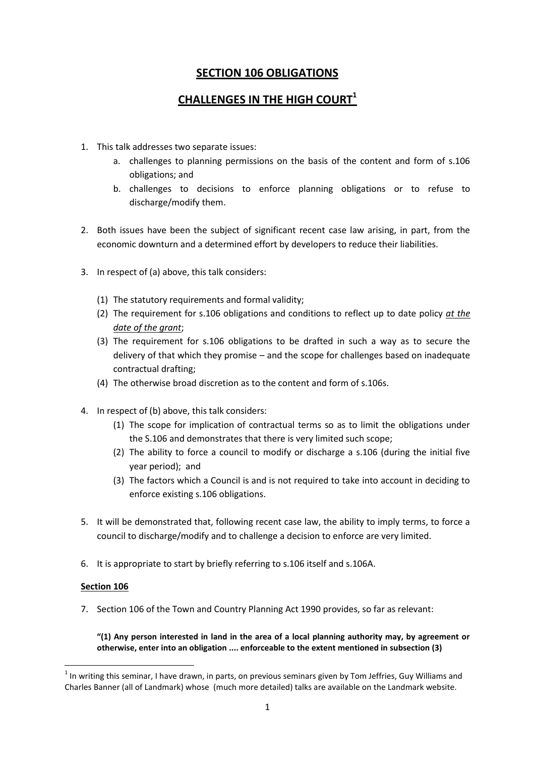# **SECTION 106 OBLIGATIONS**

# **CHALLENGES IN THE HIGH COURT<sup>1</sup>**

- 1. This talk addresses two separate issues:
	- a. challenges to planning permissions on the basis of the content and form of s.106 obligations; and
	- b. challenges to decisions to enforce planning obligations or to refuse to discharge/modify them.
- 2. Both issues have been the subject of significant recent case law arising, in part, from the economic downturn and a determined effort by developers to reduce their liabilities.
- 3. In respect of (a) above, this talk considers:
	- (1) The statutory requirements and formal validity;
	- (2) The requirement for s.106 obligations and conditions to reflect up to date policy *at the date of the grant*;
	- (3) The requirement for s.106 obligations to be drafted in such a way as to secure the delivery of that which they promise – and the scope for challenges based on inadequate contractual drafting;
	- (4) The otherwise broad discretion as to the content and form of s.106s.
- 4. In respect of (b) above, this talk considers:
	- (1) The scope for implication of contractual terms so as to limit the obligations under the S.106 and demonstrates that there is very limited such scope;
	- (2) The ability to force a council to modify or discharge a s.106 (during the initial five year period); and
	- (3) The factors which a Council is and is not required to take into account in deciding to enforce existing s.106 obligations.
- 5. It will be demonstrated that, following recent case law, the ability to imply terms, to force a council to discharge/modify and to challenge a decision to enforce are very limited.
- 6. It is appropriate to start by briefly referring to s.106 itself and s.106A.

#### **Section 106**

**.** 

7. Section 106 of the Town and Country Planning Act 1990 provides, so far as relevant:

#### **"(1) Any person interested in land in the area of a local planning authority may, by agreement or otherwise, enter into an obligation .... enforceable to the extent mentioned in subsection (3)**

 $1$  In writing this seminar, I have drawn, in parts, on previous seminars given by Tom Jeffries, Guy Williams and Charles Banner (all of Landmark) whose (much more detailed) talks are available on the Landmark website.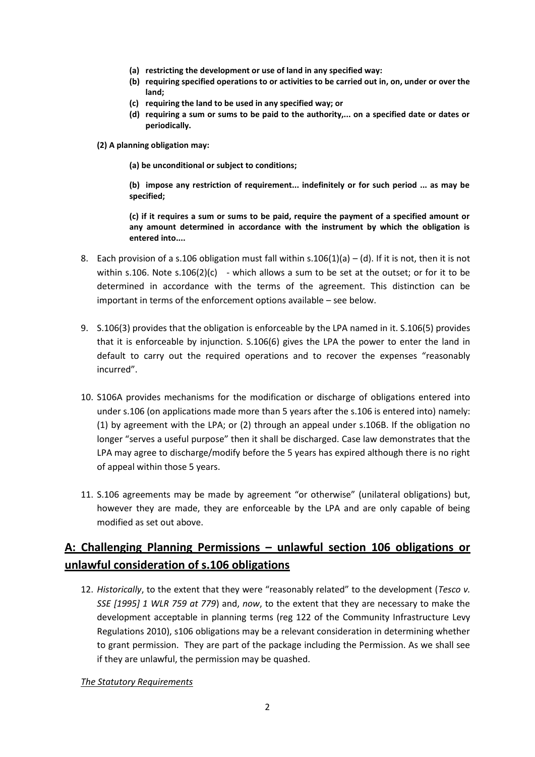- **(a) restricting the development or use of land in any specified way:**
- **(b) requiring specified operations to or activities to be carried out in, on, under or over the land;**
- **(c) requiring the land to be used in any specified way; or**
- **(d) requiring a sum or sums to be paid to the authority,... on a specified date or dates or periodically.**
- **(2) A planning obligation may:**
	- **(a) be unconditional or subject to conditions;**

**(b) impose any restriction of requirement... indefinitely or for such period ... as may be specified;**

**(c) if it requires a sum or sums to be paid, require the payment of a specified amount or any amount determined in accordance with the instrument by which the obligation is entered into....**

- 8. Each provision of a s.106 obligation must fall within s.106(1)(a) (d). If it is not, then it is not within s.106. Note s.106(2)(c) - which allows a sum to be set at the outset; or for it to be determined in accordance with the terms of the agreement. This distinction can be important in terms of the enforcement options available – see below.
- 9. S.106(3) provides that the obligation is enforceable by the LPA named in it. S.106(5) provides that it is enforceable by injunction. S.106(6) gives the LPA the power to enter the land in default to carry out the required operations and to recover the expenses "reasonably incurred".
- 10. S106A provides mechanisms for the modification or discharge of obligations entered into under s.106 (on applications made more than 5 years after the s.106 is entered into) namely: (1) by agreement with the LPA; or (2) through an appeal under s.106B. If the obligation no longer "serves a useful purpose" then it shall be discharged. Case law demonstrates that the LPA may agree to discharge/modify before the 5 years has expired although there is no right of appeal within those 5 years.
- 11. S.106 agreements may be made by agreement "or otherwise" (unilateral obligations) but, however they are made, they are enforceable by the LPA and are only capable of being modified as set out above.

# **A: Challenging Planning Permissions – unlawful section 106 obligations or unlawful consideration of s.106 obligations**

12. *Historically*, to the extent that they were "reasonably related" to the development (*Tesco v. SSE [1995] 1 WLR 759 at 779*) and, *now*, to the extent that they are necessary to make the development acceptable in planning terms (reg 122 of the Community Infrastructure Levy Regulations 2010), s106 obligations may be a relevant consideration in determining whether to grant permission. They are part of the package including the Permission. As we shall see if they are unlawful, the permission may be quashed.

#### *The Statutory Requirements*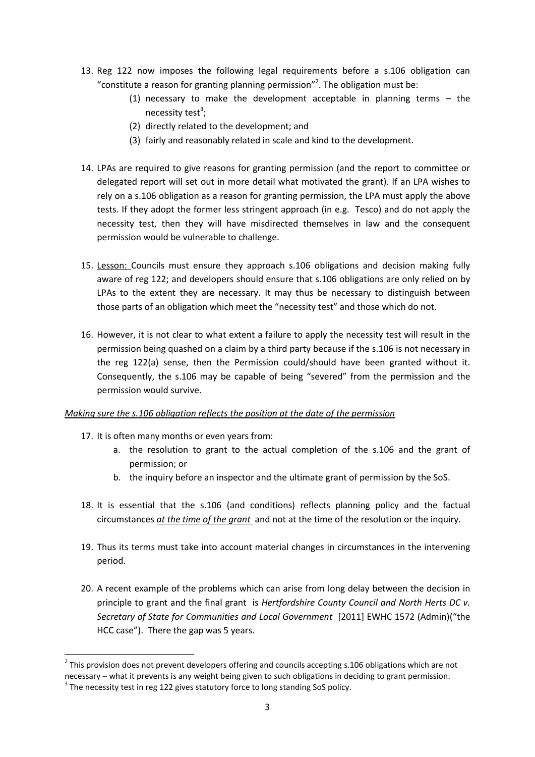- 13. Reg 122 now imposes the following legal requirements before a s.106 obligation can "constitute a reason for granting planning permission"<sup>2</sup>. The obligation must be:
	- (1) necessary to make the development acceptable in planning terms the necessity test<sup>3</sup>;
	- (2) directly related to the development; and
	- (3) fairly and reasonably related in scale and kind to the development.
- 14. LPAs are required to give reasons for granting permission (and the report to committee or delegated report will set out in more detail what motivated the grant). If an LPA wishes to rely on a s.106 obligation as a reason for granting permission, the LPA must apply the above tests. If they adopt the former less stringent approach (in e.g. Tesco) and do not apply the necessity test, then they will have misdirected themselves in law and the consequent permission would be vulnerable to challenge.
- 15. Lesson: Councils must ensure they approach s.106 obligations and decision making fully aware of reg 122; and developers should ensure that s.106 obligations are only relied on by LPAs to the extent they are necessary. It may thus be necessary to distinguish between those parts of an obligation which meet the "necessity test" and those which do not.
- 16. However, it is not clear to what extent a failure to apply the necessity test will result in the permission being quashed on a claim by a third party because if the s.106 is not necessary in the reg 122(a) sense, then the Permission could/should have been granted without it. Consequently, the s.106 may be capable of being "severed" from the permission and the permission would survive.

#### *Making sure the s.106 obligation reflects the position at the date of the permission*

- 17. It is often many months or even years from:
	- a. the resolution to grant to the actual completion of the s.106 and the grant of permission; or
	- b. the inquiry before an inspector and the ultimate grant of permission by the SoS.
- 18. It is essential that the s.106 (and conditions) reflects planning policy and the factual circumstances *at the time of the grant* and not at the time of the resolution or the inquiry.
- 19. Thus its terms must take into account material changes in circumstances in the intervening period.
- 20. A recent example of the problems which can arise from long delay between the decision in principle to grant and the final grant is *Hertfordshire County Council and North Herts DC v. Secretary of State for Communities and Local Government* [2011] EWHC 1572 (Admin)("the HCC case"). There the gap was 5 years.

 $2$  This provision does not prevent developers offering and councils accepting s.106 obligations which are not necessary – what it prevents is any weight being given to such obligations in deciding to grant permission.

 $3$  The necessity test in reg 122 gives statutory force to long standing SoS policy.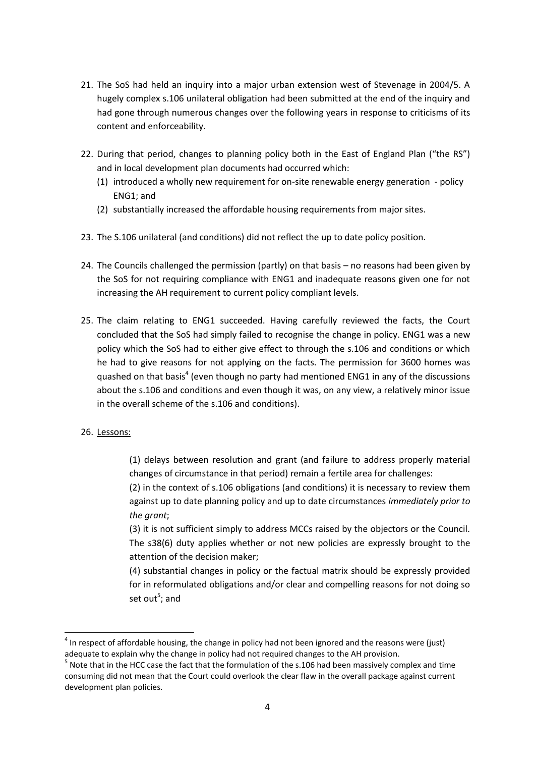- 21. The SoS had held an inquiry into a major urban extension west of Stevenage in 2004/5. A hugely complex s.106 unilateral obligation had been submitted at the end of the inquiry and had gone through numerous changes over the following years in response to criticisms of its content and enforceability.
- 22. During that period, changes to planning policy both in the East of England Plan ("the RS") and in local development plan documents had occurred which:
	- (1) introduced a wholly new requirement for on-site renewable energy generation policy ENG1; and
	- (2) substantially increased the affordable housing requirements from major sites.
- 23. The S.106 unilateral (and conditions) did not reflect the up to date policy position.
- 24. The Councils challenged the permission (partly) on that basis no reasons had been given by the SoS for not requiring compliance with ENG1 and inadequate reasons given one for not increasing the AH requirement to current policy compliant levels.
- 25. The claim relating to ENG1 succeeded. Having carefully reviewed the facts, the Court concluded that the SoS had simply failed to recognise the change in policy. ENG1 was a new policy which the SoS had to either give effect to through the s.106 and conditions or which he had to give reasons for not applying on the facts. The permission for 3600 homes was quashed on that basis<sup>4</sup> (even though no party had mentioned ENG1 in any of the discussions about the s.106 and conditions and even though it was, on any view, a relatively minor issue in the overall scheme of the s.106 and conditions).
- 26. Lessons:

 $\overline{a}$ 

(1) delays between resolution and grant (and failure to address properly material changes of circumstance in that period) remain a fertile area for challenges:

(2) in the context of s.106 obligations (and conditions) it is necessary to review them against up to date planning policy and up to date circumstances *immediately prior to the grant*;

(3) it is not sufficient simply to address MCCs raised by the objectors or the Council. The s38(6) duty applies whether or not new policies are expressly brought to the attention of the decision maker;

(4) substantial changes in policy or the factual matrix should be expressly provided for in reformulated obligations and/or clear and compelling reasons for not doing so set out<sup>5</sup>; and

 $<sup>4</sup>$  In respect of affordable housing, the change in policy had not been ignored and the reasons were (just)</sup> adequate to explain why the change in policy had not required changes to the AH provision.

 $<sup>5</sup>$  Note that in the HCC case the fact that the formulation of the s.106 had been massively complex and time</sup> consuming did not mean that the Court could overlook the clear flaw in the overall package against current development plan policies.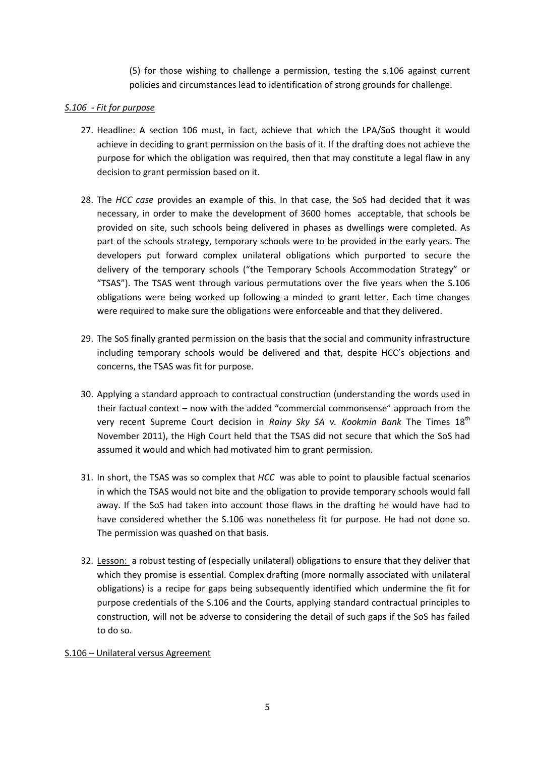(5) for those wishing to challenge a permission, testing the s.106 against current policies and circumstances lead to identification of strong grounds for challenge.

## *S.106 - Fit for purpose*

- 27. Headline: A section 106 must, in fact, achieve that which the LPA/SoS thought it would achieve in deciding to grant permission on the basis of it. If the drafting does not achieve the purpose for which the obligation was required, then that may constitute a legal flaw in any decision to grant permission based on it.
- 28. The *HCC case* provides an example of this. In that case, the SoS had decided that it was necessary, in order to make the development of 3600 homes acceptable, that schools be provided on site, such schools being delivered in phases as dwellings were completed. As part of the schools strategy, temporary schools were to be provided in the early years. The developers put forward complex unilateral obligations which purported to secure the delivery of the temporary schools ("the Temporary Schools Accommodation Strategy" or "TSAS"). The TSAS went through various permutations over the five years when the S.106 obligations were being worked up following a minded to grant letter. Each time changes were required to make sure the obligations were enforceable and that they delivered.
- 29. The SoS finally granted permission on the basis that the social and community infrastructure including temporary schools would be delivered and that, despite HCC's objections and concerns, the TSAS was fit for purpose.
- 30. Applying a standard approach to contractual construction (understanding the words used in their factual context – now with the added "commercial commonsense" approach from the very recent Supreme Court decision in *Rainy Sky SA v. Kookmin Bank* The Times 18<sup>th</sup> November 2011), the High Court held that the TSAS did not secure that which the SoS had assumed it would and which had motivated him to grant permission.
- 31. In short, the TSAS was so complex that *HCC* was able to point to plausible factual scenarios in which the TSAS would not bite and the obligation to provide temporary schools would fall away. If the SoS had taken into account those flaws in the drafting he would have had to have considered whether the S.106 was nonetheless fit for purpose. He had not done so. The permission was quashed on that basis.
- 32. Lesson: a robust testing of (especially unilateral) obligations to ensure that they deliver that which they promise is essential. Complex drafting (more normally associated with unilateral obligations) is a recipe for gaps being subsequently identified which undermine the fit for purpose credentials of the S.106 and the Courts, applying standard contractual principles to construction, will not be adverse to considering the detail of such gaps if the SoS has failed to do so.

## S.106 – Unilateral versus Agreement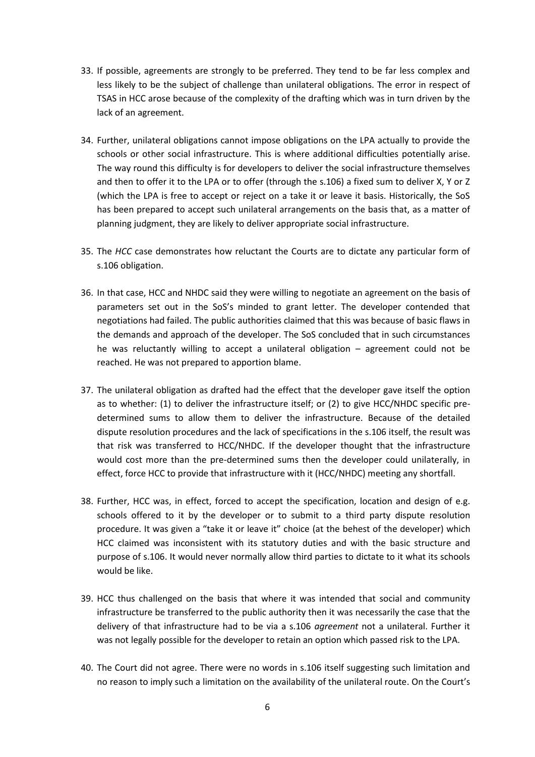- 33. If possible, agreements are strongly to be preferred. They tend to be far less complex and less likely to be the subject of challenge than unilateral obligations. The error in respect of TSAS in HCC arose because of the complexity of the drafting which was in turn driven by the lack of an agreement.
- 34. Further, unilateral obligations cannot impose obligations on the LPA actually to provide the schools or other social infrastructure. This is where additional difficulties potentially arise. The way round this difficulty is for developers to deliver the social infrastructure themselves and then to offer it to the LPA or to offer (through the s.106) a fixed sum to deliver X, Y or Z (which the LPA is free to accept or reject on a take it or leave it basis. Historically, the SoS has been prepared to accept such unilateral arrangements on the basis that, as a matter of planning judgment, they are likely to deliver appropriate social infrastructure.
- 35. The *HCC* case demonstrates how reluctant the Courts are to dictate any particular form of s.106 obligation.
- 36. In that case, HCC and NHDC said they were willing to negotiate an agreement on the basis of parameters set out in the SoS's minded to grant letter. The developer contended that negotiations had failed. The public authorities claimed that this was because of basic flaws in the demands and approach of the developer. The SoS concluded that in such circumstances he was reluctantly willing to accept a unilateral obligation – agreement could not be reached. He was not prepared to apportion blame.
- 37. The unilateral obligation as drafted had the effect that the developer gave itself the option as to whether: (1) to deliver the infrastructure itself; or (2) to give HCC/NHDC specific predetermined sums to allow them to deliver the infrastructure. Because of the detailed dispute resolution procedures and the lack of specifications in the s.106 itself, the result was that risk was transferred to HCC/NHDC. If the developer thought that the infrastructure would cost more than the pre-determined sums then the developer could unilaterally, in effect, force HCC to provide that infrastructure with it (HCC/NHDC) meeting any shortfall.
- 38. Further, HCC was, in effect, forced to accept the specification, location and design of e.g. schools offered to it by the developer or to submit to a third party dispute resolution procedure. It was given a "take it or leave it" choice (at the behest of the developer) which HCC claimed was inconsistent with its statutory duties and with the basic structure and purpose of s.106. It would never normally allow third parties to dictate to it what its schools would be like.
- 39. HCC thus challenged on the basis that where it was intended that social and community infrastructure be transferred to the public authority then it was necessarily the case that the delivery of that infrastructure had to be via a s.106 *agreement* not a unilateral. Further it was not legally possible for the developer to retain an option which passed risk to the LPA.
- 40. The Court did not agree. There were no words in s.106 itself suggesting such limitation and no reason to imply such a limitation on the availability of the unilateral route. On the Court's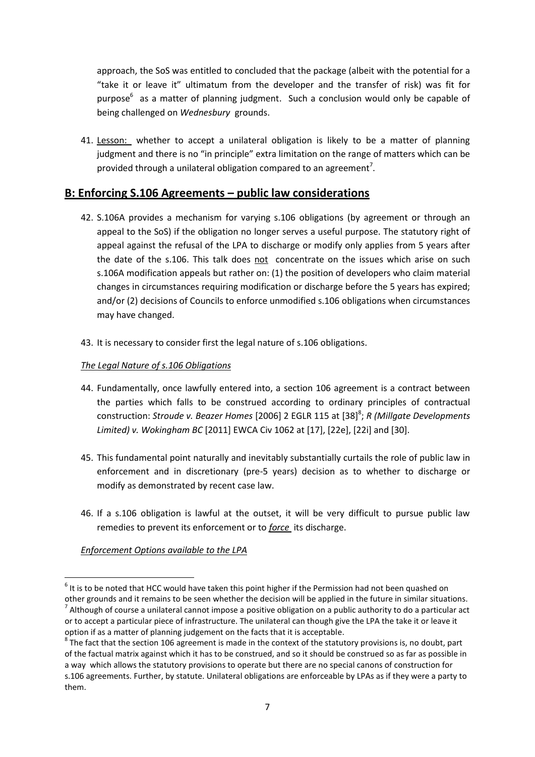approach, the SoS was entitled to concluded that the package (albeit with the potential for a "take it or leave it" ultimatum from the developer and the transfer of risk) was fit for purpose<sup>6</sup> as a matter of planning judgment. Such a conclusion would only be capable of being challenged on *Wednesbury* grounds.

41. Lesson: whether to accept a unilateral obligation is likely to be a matter of planning judgment and there is no "in principle" extra limitation on the range of matters which can be provided through a unilateral obligation compared to an agreement<sup>7</sup>.

## **B: Enforcing S.106 Agreements – public law considerations**

- 42. S.106A provides a mechanism for varying s.106 obligations (by agreement or through an appeal to the SoS) if the obligation no longer serves a useful purpose. The statutory right of appeal against the refusal of the LPA to discharge or modify only applies from 5 years after the date of the s.106. This talk does not concentrate on the issues which arise on such s.106A modification appeals but rather on: (1) the position of developers who claim material changes in circumstances requiring modification or discharge before the 5 years has expired; and/or (2) decisions of Councils to enforce unmodified s.106 obligations when circumstances may have changed.
- 43. It is necessary to consider first the legal nature of s.106 obligations.

## *The Legal Nature of s.106 Obligations*

- 44. Fundamentally, once lawfully entered into, a section 106 agreement is a contract between the parties which falls to be construed according to ordinary principles of contractual construction: Stroude v. Beazer Homes [2006] 2 EGLR 115 at [38]<sup>8</sup>; R (Millgate Developments *Limited) v. Wokingham BC* [2011] EWCA Civ 1062 at [17], [22e], [22i] and [30].
- 45. This fundamental point naturally and inevitably substantially curtails the role of public law in enforcement and in discretionary (pre-5 years) decision as to whether to discharge or modify as demonstrated by recent case law.
- 46. If a s.106 obligation is lawful at the outset, it will be very difficult to pursue public law remedies to prevent its enforcement or to *force* its discharge.

## *Enforcement Options available to the LPA*

**<sup>.</sup>**  $<sup>6</sup>$  It is to be noted that HCC would have taken this point higher if the Permission had not been quashed on</sup> other grounds and it remains to be seen whether the decision will be applied in the future in similar situations.  $^7$  Although of course a unilateral cannot impose a positive obligation on a public authority to do a particular act or to accept a particular piece of infrastructure. The unilateral can though give the LPA the take it or leave it option if as a matter of planning judgement on the facts that it is acceptable.

 $^8$  The fact that the section 106 agreement is made in the context of the statutory provisions is, no doubt, part of the factual matrix against which it has to be construed, and so it should be construed so as far as possible in a way which allows the statutory provisions to operate but there are no special canons of construction for s.106 agreements. Further, by statute. Unilateral obligations are enforceable by LPAs as if they were a party to them.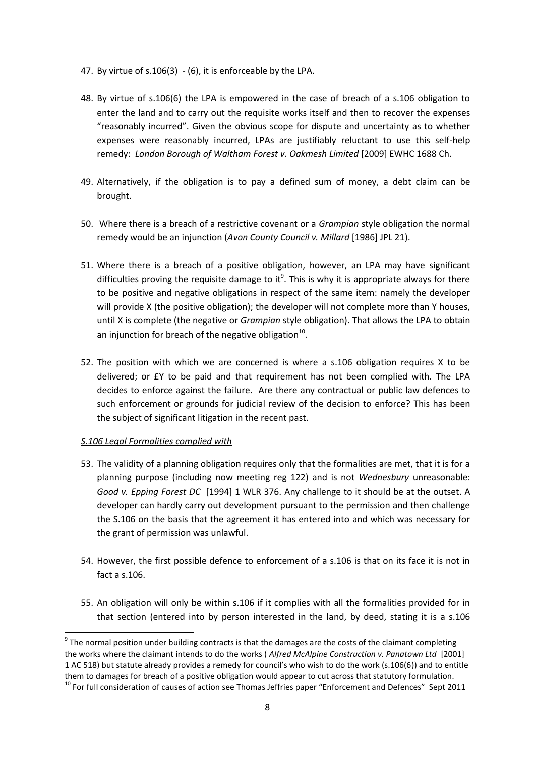- 47. By virtue of s.106(3) (6), it is enforceable by the LPA.
- 48. By virtue of s.106(6) the LPA is empowered in the case of breach of a s.106 obligation to enter the land and to carry out the requisite works itself and then to recover the expenses "reasonably incurred". Given the obvious scope for dispute and uncertainty as to whether expenses were reasonably incurred, LPAs are justifiably reluctant to use this self-help remedy: *London Borough of Waltham Forest v. Oakmesh Limited* [2009] EWHC 1688 Ch.
- 49. Alternatively, if the obligation is to pay a defined sum of money, a debt claim can be brought.
- 50. Where there is a breach of a restrictive covenant or a *Grampian* style obligation the normal remedy would be an injunction (*Avon County Council v. Millard* [1986] JPL 21).
- 51. Where there is a breach of a positive obligation, however, an LPA may have significant difficulties proving the requisite damage to it<sup>9</sup>. This is why it is appropriate always for there to be positive and negative obligations in respect of the same item: namely the developer will provide X (the positive obligation); the developer will not complete more than Y houses, until X is complete (the negative or *Grampian* style obligation). That allows the LPA to obtain an injunction for breach of the negative obligation $^{10}$ .
- 52. The position with which we are concerned is where a s.106 obligation requires X to be delivered; or £Y to be paid and that requirement has not been complied with. The LPA decides to enforce against the failure. Are there any contractual or public law defences to such enforcement or grounds for judicial review of the decision to enforce? This has been the subject of significant litigation in the recent past.

#### *S.106 Legal Formalities complied with*

 $\overline{a}$ 

- 53. The validity of a planning obligation requires only that the formalities are met, that it is for a planning purpose (including now meeting reg 122) and is not *Wednesbury* unreasonable: *Good v. Epping Forest DC* [1994] 1 WLR 376. Any challenge to it should be at the outset. A developer can hardly carry out development pursuant to the permission and then challenge the S.106 on the basis that the agreement it has entered into and which was necessary for the grant of permission was unlawful.
- 54. However, the first possible defence to enforcement of a s.106 is that on its face it is not in fact a s.106.
- 55. An obligation will only be within s.106 if it complies with all the formalities provided for in that section (entered into by person interested in the land, by deed, stating it is a s.106

 $9$  The normal position under building contracts is that the damages are the costs of the claimant completing the works where the claimant intends to do the works ( *Alfred McAlpine Construction v. Panatown Ltd* [2001] 1 AC 518) but statute already provides a remedy for council's who wish to do the work (s.106(6)) and to entitle them to damages for breach of a positive obligation would appear to cut across that statutory formulation.

 $10$  For full consideration of causes of action see Thomas Jeffries paper "Enforcement and Defences" Sept 2011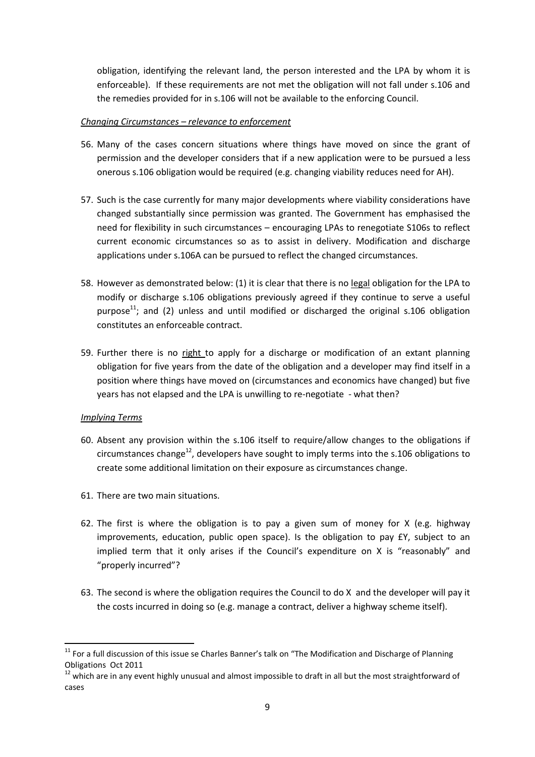obligation, identifying the relevant land, the person interested and the LPA by whom it is enforceable). If these requirements are not met the obligation will not fall under s.106 and the remedies provided for in s.106 will not be available to the enforcing Council.

#### *Changing Circumstances – relevance to enforcement*

- 56. Many of the cases concern situations where things have moved on since the grant of permission and the developer considers that if a new application were to be pursued a less onerous s.106 obligation would be required (e.g. changing viability reduces need for AH).
- 57. Such is the case currently for many major developments where viability considerations have changed substantially since permission was granted. The Government has emphasised the need for flexibility in such circumstances – encouraging LPAs to renegotiate S106s to reflect current economic circumstances so as to assist in delivery. Modification and discharge applications under s.106A can be pursued to reflect the changed circumstances.
- 58. However as demonstrated below: (1) it is clear that there is no legal obligation for the LPA to modify or discharge s.106 obligations previously agreed if they continue to serve a useful purpose $^{11}$ ; and (2) unless and until modified or discharged the original s.106 obligation constitutes an enforceable contract.
- 59. Further there is no right to apply for a discharge or modification of an extant planning obligation for five years from the date of the obligation and a developer may find itself in a position where things have moved on (circumstances and economics have changed) but five years has not elapsed and the LPA is unwilling to re-negotiate - what then?

## *Implying Terms*

- 60. Absent any provision within the s.106 itself to require/allow changes to the obligations if circumstances change<sup>12</sup>, developers have sought to imply terms into the s.106 obligations to create some additional limitation on their exposure as circumstances change.
- 61. There are two main situations.
- 62. The first is where the obligation is to pay a given sum of money for  $X$  (e.g. highway improvements, education, public open space). Is the obligation to pay £Y, subject to an implied term that it only arises if the Council's expenditure on X is "reasonably" and "properly incurred"?
- 63. The second is where the obligation requires the Council to do X and the developer will pay it the costs incurred in doing so (e.g. manage a contract, deliver a highway scheme itself).

 $11$  For a full discussion of this issue se Charles Banner's talk on "The Modification and Discharge of Planning Obligations Oct 2011

 $12$  which are in any event highly unusual and almost impossible to draft in all but the most straightforward of cases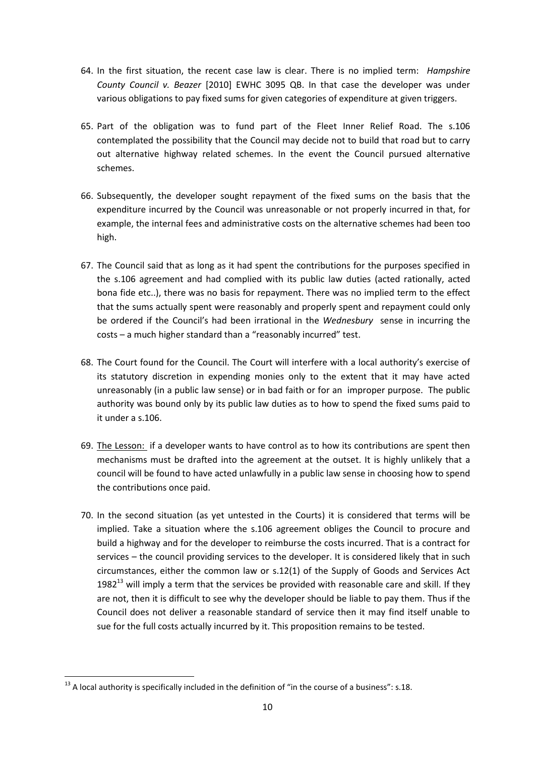- 64. In the first situation, the recent case law is clear. There is no implied term: *Hampshire County Council v. Beazer* [2010] EWHC 3095 QB. In that case the developer was under various obligations to pay fixed sums for given categories of expenditure at given triggers.
- 65. Part of the obligation was to fund part of the Fleet Inner Relief Road. The s.106 contemplated the possibility that the Council may decide not to build that road but to carry out alternative highway related schemes. In the event the Council pursued alternative schemes.
- 66. Subsequently, the developer sought repayment of the fixed sums on the basis that the expenditure incurred by the Council was unreasonable or not properly incurred in that, for example, the internal fees and administrative costs on the alternative schemes had been too high.
- 67. The Council said that as long as it had spent the contributions for the purposes specified in the s.106 agreement and had complied with its public law duties (acted rationally, acted bona fide etc..), there was no basis for repayment. There was no implied term to the effect that the sums actually spent were reasonably and properly spent and repayment could only be ordered if the Council's had been irrational in the *Wednesbury* sense in incurring the costs – a much higher standard than a "reasonably incurred" test.
- 68. The Court found for the Council. The Court will interfere with a local authority's exercise of its statutory discretion in expending monies only to the extent that it may have acted unreasonably (in a public law sense) or in bad faith or for an improper purpose. The public authority was bound only by its public law duties as to how to spend the fixed sums paid to it under a s.106.
- 69. The Lesson: if a developer wants to have control as to how its contributions are spent then mechanisms must be drafted into the agreement at the outset. It is highly unlikely that a council will be found to have acted unlawfully in a public law sense in choosing how to spend the contributions once paid.
- 70. In the second situation (as yet untested in the Courts) it is considered that terms will be implied. Take a situation where the s.106 agreement obliges the Council to procure and build a highway and for the developer to reimburse the costs incurred. That is a contract for services – the council providing services to the developer. It is considered likely that in such circumstances, either the common law or s.12(1) of the Supply of Goods and Services Act 1982 $^{13}$  will imply a term that the services be provided with reasonable care and skill. If they are not, then it is difficult to see why the developer should be liable to pay them. Thus if the Council does not deliver a reasonable standard of service then it may find itself unable to sue for the full costs actually incurred by it. This proposition remains to be tested.

 $13$  A local authority is specifically included in the definition of "in the course of a business": s.18.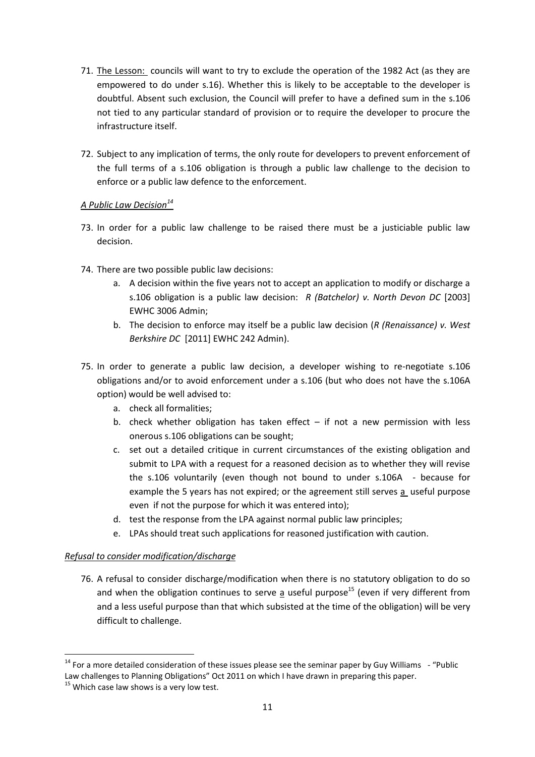- 71. The Lesson: councils will want to try to exclude the operation of the 1982 Act (as they are empowered to do under s.16). Whether this is likely to be acceptable to the developer is doubtful. Absent such exclusion, the Council will prefer to have a defined sum in the s.106 not tied to any particular standard of provision or to require the developer to procure the infrastructure itself.
- 72. Subject to any implication of terms, the only route for developers to prevent enforcement of the full terms of a s.106 obligation is through a public law challenge to the decision to enforce or a public law defence to the enforcement.

## *A Public Law Decision<sup>14</sup>*

- 73. In order for a public law challenge to be raised there must be a justiciable public law decision.
- 74. There are two possible public law decisions:
	- a. A decision within the five years not to accept an application to modify or discharge a s.106 obligation is a public law decision: *R (Batchelor) v. North Devon DC* [2003] EWHC 3006 Admin;
	- b. The decision to enforce may itself be a public law decision (*R (Renaissance) v. West Berkshire DC* [2011] EWHC 242 Admin).
- 75. In order to generate a public law decision, a developer wishing to re-negotiate s.106 obligations and/or to avoid enforcement under a s.106 (but who does not have the s.106A option) would be well advised to:
	- a. check all formalities;
	- b. check whether obligation has taken effect  $-$  if not a new permission with less onerous s.106 obligations can be sought;
	- c. set out a detailed critique in current circumstances of the existing obligation and submit to LPA with a request for a reasoned decision as to whether they will revise the s.106 voluntarily (even though not bound to under s.106A - because for example the 5 years has not expired; or the agreement still serves a useful purpose even if not the purpose for which it was entered into);
	- d. test the response from the LPA against normal public law principles;
	- e. LPAs should treat such applications for reasoned justification with caution.

## *Refusal to consider modification/discharge*

76. A refusal to consider discharge/modification when there is no statutory obligation to do so and when the obligation continues to serve a useful purpose<sup>15</sup> (even if very different from and a less useful purpose than that which subsisted at the time of the obligation) will be very difficult to challenge.

 $14$  For a more detailed consideration of these issues please see the seminar paper by Guy Williams  $-$  "Public Law challenges to Planning Obligations" Oct 2011 on which I have drawn in preparing this paper.

 $15$  Which case law shows is a very low test.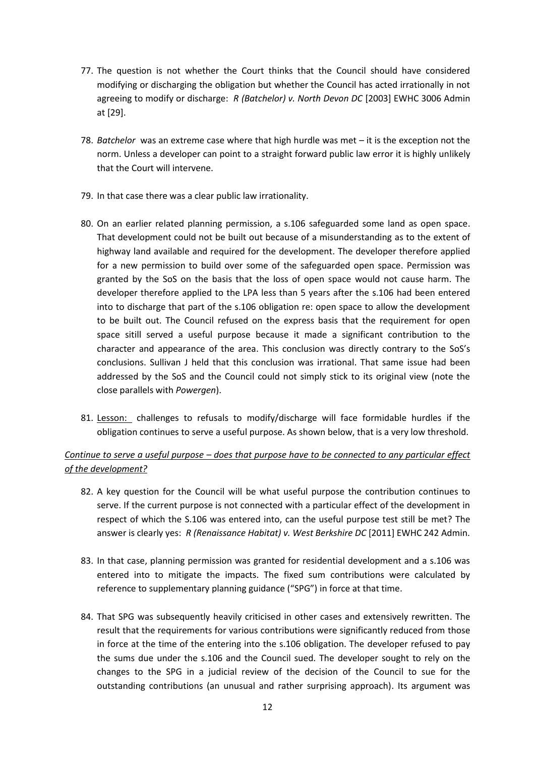- 77. The question is not whether the Court thinks that the Council should have considered modifying or discharging the obligation but whether the Council has acted irrationally in not agreeing to modify or discharge: *R (Batchelor) v. North Devon DC* [2003] EWHC 3006 Admin at [29].
- 78. *Batchelor* was an extreme case where that high hurdle was met it is the exception not the norm. Unless a developer can point to a straight forward public law error it is highly unlikely that the Court will intervene.
- 79. In that case there was a clear public law irrationality.
- 80. On an earlier related planning permission, a s.106 safeguarded some land as open space. That development could not be built out because of a misunderstanding as to the extent of highway land available and required for the development. The developer therefore applied for a new permission to build over some of the safeguarded open space. Permission was granted by the SoS on the basis that the loss of open space would not cause harm. The developer therefore applied to the LPA less than 5 years after the s.106 had been entered into to discharge that part of the s.106 obligation re: open space to allow the development to be built out. The Council refused on the express basis that the requirement for open space sitill served a useful purpose because it made a significant contribution to the character and appearance of the area. This conclusion was directly contrary to the SoS's conclusions. Sullivan J held that this conclusion was irrational. That same issue had been addressed by the SoS and the Council could not simply stick to its original view (note the close parallels with *Powergen*).
- 81. Lesson: challenges to refusals to modify/discharge will face formidable hurdles if the obligation continues to serve a useful purpose. As shown below, that is a very low threshold.

## *Continue to serve a useful purpose – does that purpose have to be connected to any particular effect of the development?*

- 82. A key question for the Council will be what useful purpose the contribution continues to serve. If the current purpose is not connected with a particular effect of the development in respect of which the S.106 was entered into, can the useful purpose test still be met? The answer is clearly yes: *R (Renaissance Habitat) v. West Berkshire DC* [2011] EWHC 242 Admin.
- 83. In that case, planning permission was granted for residential development and a s.106 was entered into to mitigate the impacts. The fixed sum contributions were calculated by reference to supplementary planning guidance ("SPG") in force at that time.
- 84. That SPG was subsequently heavily criticised in other cases and extensively rewritten. The result that the requirements for various contributions were significantly reduced from those in force at the time of the entering into the s.106 obligation. The developer refused to pay the sums due under the s.106 and the Council sued. The developer sought to rely on the changes to the SPG in a judicial review of the decision of the Council to sue for the outstanding contributions (an unusual and rather surprising approach). Its argument was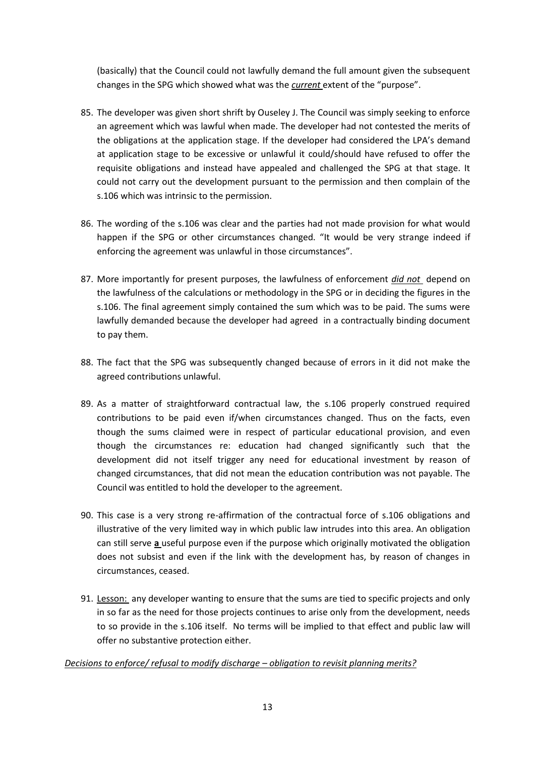(basically) that the Council could not lawfully demand the full amount given the subsequent changes in the SPG which showed what was the *current* extent of the "purpose".

- 85. The developer was given short shrift by Ouseley J. The Council was simply seeking to enforce an agreement which was lawful when made. The developer had not contested the merits of the obligations at the application stage. If the developer had considered the LPA's demand at application stage to be excessive or unlawful it could/should have refused to offer the requisite obligations and instead have appealed and challenged the SPG at that stage. It could not carry out the development pursuant to the permission and then complain of the s.106 which was intrinsic to the permission.
- 86. The wording of the s.106 was clear and the parties had not made provision for what would happen if the SPG or other circumstances changed. "It would be very strange indeed if enforcing the agreement was unlawful in those circumstances".
- 87. More importantly for present purposes, the lawfulness of enforcement *did not* depend on the lawfulness of the calculations or methodology in the SPG or in deciding the figures in the s.106. The final agreement simply contained the sum which was to be paid. The sums were lawfully demanded because the developer had agreed in a contractually binding document to pay them.
- 88. The fact that the SPG was subsequently changed because of errors in it did not make the agreed contributions unlawful.
- 89. As a matter of straightforward contractual law, the s.106 properly construed required contributions to be paid even if/when circumstances changed. Thus on the facts, even though the sums claimed were in respect of particular educational provision, and even though the circumstances re: education had changed significantly such that the development did not itself trigger any need for educational investment by reason of changed circumstances, that did not mean the education contribution was not payable. The Council was entitled to hold the developer to the agreement.
- 90. This case is a very strong re-affirmation of the contractual force of s.106 obligations and illustrative of the very limited way in which public law intrudes into this area. An obligation can still serve **a** useful purpose even if the purpose which originally motivated the obligation does not subsist and even if the link with the development has, by reason of changes in circumstances, ceased.
- 91. Lesson: any developer wanting to ensure that the sums are tied to specific projects and only in so far as the need for those projects continues to arise only from the development, needs to so provide in the s.106 itself. No terms will be implied to that effect and public law will offer no substantive protection either.

## *Decisions to enforce/ refusal to modify discharge – obligation to revisit planning merits?*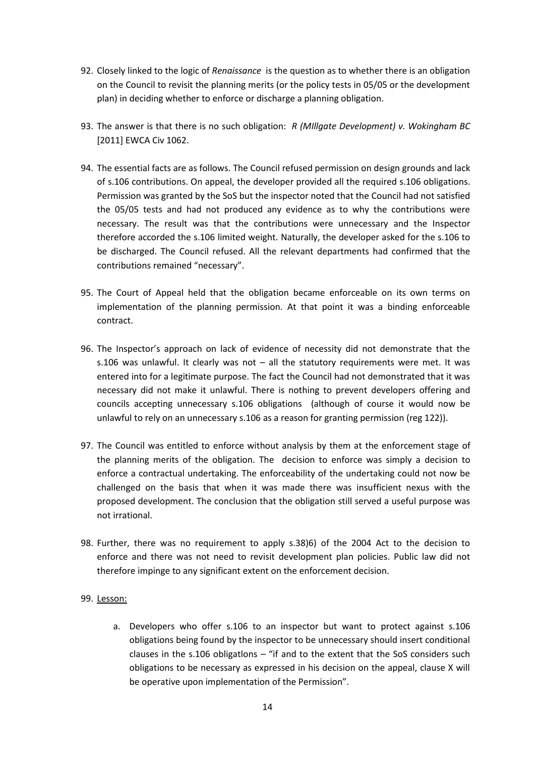- 92. Closely linked to the logic of *Renaissance* is the question as to whether there is an obligation on the Council to revisit the planning merits (or the policy tests in 05/05 or the development plan) in deciding whether to enforce or discharge a planning obligation.
- 93. The answer is that there is no such obligation: *R (MIllgate Development) v. Wokingham BC*  [2011] EWCA Civ 1062.
- 94. The essential facts are as follows. The Council refused permission on design grounds and lack of s.106 contributions. On appeal, the developer provided all the required s.106 obligations. Permission was granted by the SoS but the inspector noted that the Council had not satisfied the 05/05 tests and had not produced any evidence as to why the contributions were necessary. The result was that the contributions were unnecessary and the Inspector therefore accorded the s.106 limited weight. Naturally, the developer asked for the s.106 to be discharged. The Council refused. All the relevant departments had confirmed that the contributions remained "necessary".
- 95. The Court of Appeal held that the obligation became enforceable on its own terms on implementation of the planning permission. At that point it was a binding enforceable contract.
- 96. The Inspector's approach on lack of evidence of necessity did not demonstrate that the s.106 was unlawful. It clearly was not – all the statutory requirements were met. It was entered into for a legitimate purpose. The fact the Council had not demonstrated that it was necessary did not make it unlawful. There is nothing to prevent developers offering and councils accepting unnecessary s.106 obligations (although of course it would now be unlawful to rely on an unnecessary s.106 as a reason for granting permission (reg 122)).
- 97. The Council was entitled to enforce without analysis by them at the enforcement stage of the planning merits of the obligation. The decision to enforce was simply a decision to enforce a contractual undertaking. The enforceability of the undertaking could not now be challenged on the basis that when it was made there was insufficient nexus with the proposed development. The conclusion that the obligation still served a useful purpose was not irrational.
- 98. Further, there was no requirement to apply s.38)6) of the 2004 Act to the decision to enforce and there was not need to revisit development plan policies. Public law did not therefore impinge to any significant extent on the enforcement decision.

#### 99. Lesson:

a. Developers who offer s.106 to an inspector but want to protect against s.106 obligations being found by the inspector to be unnecessary should insert conditional clauses in the  $s.106$  obligations – "if and to the extent that the SoS considers such obligations to be necessary as expressed in his decision on the appeal, clause X will be operative upon implementation of the Permission".